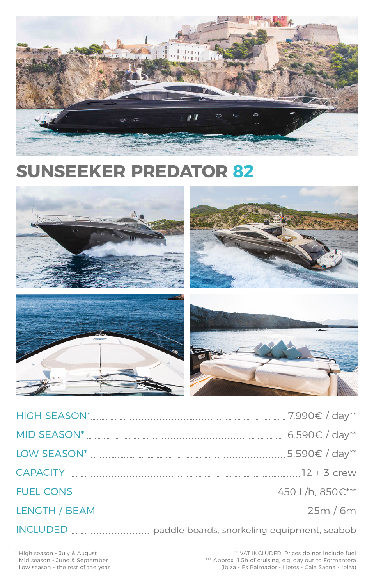| <b>HIGH SEASON*</b> | 7.990€ / day** |  |
|---------------------|----------------|--|
| <b>MID SEASON*</b>  | 6.590€ / day** |  |



| $\sim$ $\sim$<br>_<br>$- \cdot$<br>. | $\mathcal{L}$ | ∽ |  |
|--------------------------------------|---------------|---|--|
|--------------------------------------|---------------|---|--|

LOW SEASON\* 5.590€ / day\*\*

FUEL CONS 450 L/h, 850€\*\*\*

LENGTH / BEAM 25m / 6m

INCLUDED paddle boards, snorkeling equipment, seabob

\*\* VAT INCLUDED. Prices do not include fuel \*\*\* Approx. 1.5h of cruising, e.g. day out to Formentera (Ibiza - Es Palmador - Illetes - Cala Saona - Ibiza)

\* High season - July & August Mid season - June & September Low season - the rest of the year



# **SUNSEEKER PREDATOR 82**